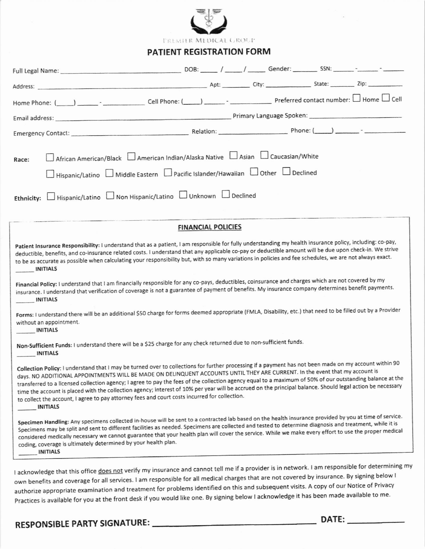

**TREMITR MEDICAL GROUP** 

### PATIENT REGISTRATION FORM

| African American/Black   American Indian/Alaska Native   Asian   Caucasian/White<br>Race:<br>□ Hispanic/Latino □ Middle Eastern □ Pacific Islander/Hawaiian □ Other □ Declined<br>Ethnicity: Hispanic/Latino Non Hispanic/Latino Unknown U Declined                                                                                                                                                                                                                                                                                                                                                                                                                                                                                                                                                            |  |  |  |  |  |
|----------------------------------------------------------------------------------------------------------------------------------------------------------------------------------------------------------------------------------------------------------------------------------------------------------------------------------------------------------------------------------------------------------------------------------------------------------------------------------------------------------------------------------------------------------------------------------------------------------------------------------------------------------------------------------------------------------------------------------------------------------------------------------------------------------------|--|--|--|--|--|
|                                                                                                                                                                                                                                                                                                                                                                                                                                                                                                                                                                                                                                                                                                                                                                                                                |  |  |  |  |  |
| <b>FINANCIAL POLICIES</b>                                                                                                                                                                                                                                                                                                                                                                                                                                                                                                                                                                                                                                                                                                                                                                                      |  |  |  |  |  |
| Patient Insurance Responsibility: I understand that as a patient, I am responsible for fully understanding my health insurance policy, including: co-pay,<br>deductible, benefits, and co-insurance related costs. I understand that any applicable co-pay or deductible amount will be due upon check-in. We strive<br>to be as accurate as possible when calculating your responsibility but, with so many variations in policies and fee schedules, we are not always exact.<br><b>INITIALS</b><br>Financial Policy: I understand that I am financially responsible for any co-pays, deductibles, coinsurance and charges which are not covered by my<br>insurance. I understand that verification of coverage is not a guarantee of payment of benefits. My insurance company determines benefit payments. |  |  |  |  |  |
| INITIALS                                                                                                                                                                                                                                                                                                                                                                                                                                                                                                                                                                                                                                                                                                                                                                                                       |  |  |  |  |  |
| Forms: I understand there will be an additional \$50 charge for forms deemed appropriate (FMLA, Disability, etc.) that need to be filled out by a Provider<br>without an appointment.<br>INITIALS                                                                                                                                                                                                                                                                                                                                                                                                                                                                                                                                                                                                              |  |  |  |  |  |
| Non-Sufficient Funds: I understand there will be a \$25 charge for any check returned due to non-sufficient funds.<br>INITIALS                                                                                                                                                                                                                                                                                                                                                                                                                                                                                                                                                                                                                                                                                 |  |  |  |  |  |
| Collection Policy: I understand that I may be turned over to collections for further processing if a payment has not been made on my account within 90<br>days. NO ADDITIONAL APPOINTMENTS WILL BE MADE ON DELINQUENT ACCOUNTS UNTIL THEY ARE CURRENT. In the event that my account is<br>transferred to a licensed collection agency; I agree to pay the fees of the collection agency equal to a maximum of 50% of our outstanding balance at the<br>time the account is placed with the collection agency; interest of 10% per year will be accrued on the principal balance. Should legal action be necessary<br>to collect the account, I agree to pay attorney fees and court costs incurred for collection.<br><b>INITIALS</b>                                                                          |  |  |  |  |  |
| Specimen Handling: Any specimens collected in-house will be sent to a contracted lab based on the health insurance provided by you at time of service.<br>Specimens may be split and sent to different facilities as needed. Specimens are collected and tested to determine diagnosis and treatment, while it is<br>considered medically necessary we cannot guarantee that your health plan will cover the service. While we make every effort to use the proper medical<br>coding, coverage is ultimately determined by your health plan.<br><b>INITIALS</b>                                                                                                                                                                                                                                                |  |  |  |  |  |
| Lacknowledge that this office does not verify my insurance and cannot tell me if a provider is in network. I am responsible for determining my                                                                                                                                                                                                                                                                                                                                                                                                                                                                                                                                                                                                                                                                 |  |  |  |  |  |

own benefits and coverage for all services. I am responsible for all medical charges that are not covered by insurance. By signing below I authorize appropriate examination and treatment for problems identified on this and subsequent visits. A copy of our Notice of Privacy Practices is available for you at the front desk if you would like one. By signing below I acknowledge it has been made available to me.

#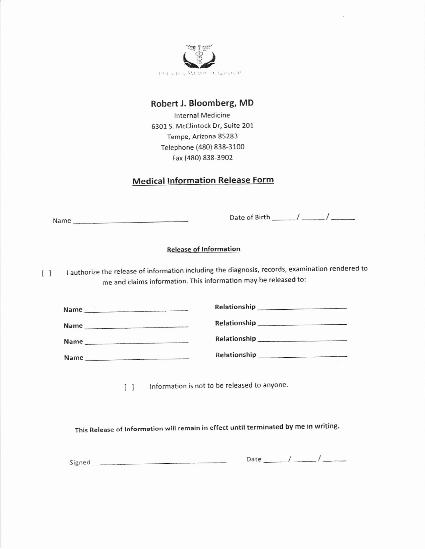

### Robert J. Bloomberg, MD

lnternal Medicine 63o1 S. Mcclintock Dr, suite 201 Tempe, Arizona 85283 Telephone (480) 838-3100 Fax (48o) 838-3902

## Medical Information Release Form

Name

Date of Birth /

### Release of lnformation

 $\begin{bmatrix} \end{bmatrix}$ <sup>I</sup>authorize the release of information including the diagnosis, records, examination rendered to me and claims information. This information may be released to:

| Name | Relationship<br>the control of the second control of the second control of the second control of the second control of the second second control of the second second control of the second second second second second second second second s |  |
|------|------------------------------------------------------------------------------------------------------------------------------------------------------------------------------------------------------------------------------------------------|--|
| Name | Relationship<br><b>Committee Committee Committee Committee</b>                                                                                                                                                                                 |  |
| Name |                                                                                                                                                                                                                                                |  |
| Name | Relationship                                                                                                                                                                                                                                   |  |

[ ] Information is not to be released to anyone.

This Release of lnformation will remain in effect until terminated by me in writing.

Signed **Date**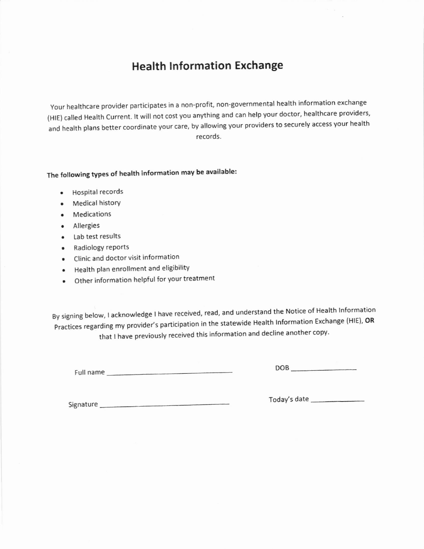# Health lnformation Exchange

Your healthcare provider participates in a non-profit, non-governmental health information exchange (HIE) called Health Current. It will not cost you anything and can help your doctor, healthcare providers, and health plans better coordinate your care, by allowing your providers to securely access your health records.

# The following types of health information may be available:

- . Hospital records
- . Medical history
- . Medications
- . Allergies
- . Lab test results
- . Radiology rePorts
- o Clinic and doctor visit information
- Health plan enrollment and eligibility
- . Other information helpful for your treatment

By signing below, I acknowledge I have received, read, and understand the Notice of Health Information Practices regarding my provider's participation in the statewide Health Information Exchange (HIE), OR that I have previously received this information and decline another copy.

Full name

DOB

Signature

Today's date